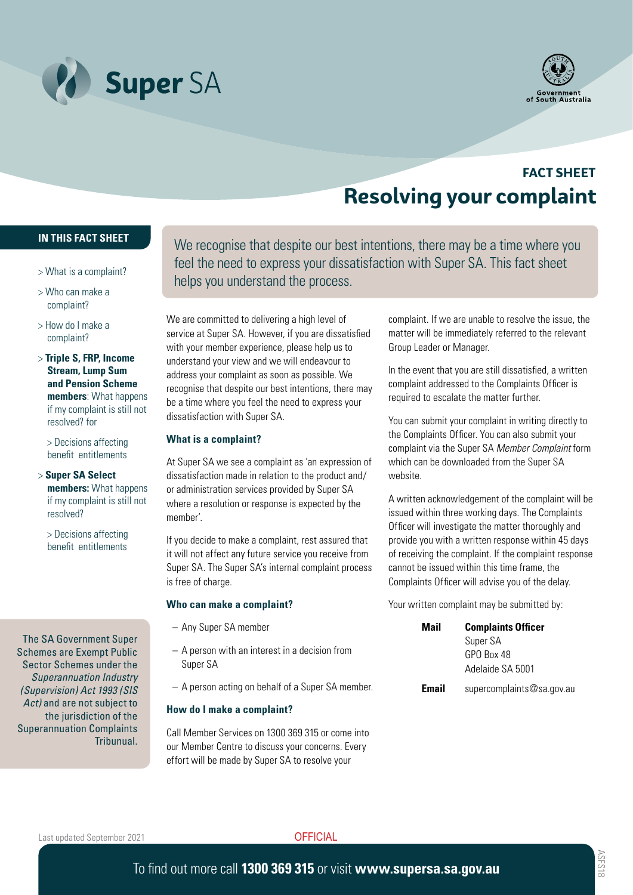



## **FACT SHEET Resolving your complaint**

## **IN THIS FACT SHEET**

- > What is a complaint?
- > Who can make a complaint?
- > How do I make a complaint?
- > **Triple S, FRP, Income Stream, Lump Sum and Pension Scheme members**: What happens if my complaint is still not resolved? for
	- > Decisions affecting benefit entitlements
- > **Super SA Select members:** What happens if my complaint is still not resolved?
	- > Decisions affecting benefit entitlements

The SA Government Super Schemes are Exempt Public Sector Schemes under the *Superannuation Industry (Supervision) Act 1993 (SIS Act)* and are not subject to the jurisdiction of the Superannuation Complaints Tribunual.

We recognise that despite our best intentions, there may be a time where you feel the need to express your dissatisfaction with Super SA. This fact sheet helps you understand the process.

We are committed to delivering a high level of service at Super SA. However, if you are dissatisfied with your member experience, please help us to understand your view and we will endeavour to address your complaint as soon as possible. We recognise that despite our best intentions, there may be a time where you feel the need to express your dissatisfaction with Super SA.

#### **What is a complaint?**

At Super SA we see a complaint as 'an expression of dissatisfaction made in relation to the product and/ or administration services provided by Super SA where a resolution or response is expected by the member'.

If you decide to make a complaint, rest assured that it will not affect any future service you receive from Super SA. The Super SA's internal complaint process is free of charge.

#### **Who can make a complaint?**

- Any Super SA member
- A person with an interest in a decision from Super SA
- A person acting on behalf of a Super SA member.

#### **How do I make a complaint?**

Call Member Services on 1300 369 315 or come into our Member Centre to discuss your concerns. Every effort will be made by Super SA to resolve your

complaint. If we are unable to resolve the issue, the matter will be immediately referred to the relevant Group Leader or Manager.

In the event that you are still dissatisfied, a written complaint addressed to the Complaints Officer is required to escalate the matter further.

You can submit your complaint in writing directly to the Complaints Officer. You can also submit your complaint via the Super SA *Member Complaint* form which can be downloaded from the Super SA website.

A written acknowledgement of the complaint will be issued within three working days. The Complaints Officer will investigate the matter thoroughly and provide you with a written response within 45 days of receiving the complaint. If the complaint response cannot be issued within this time frame, the Complaints Officer will advise you of the delay.

Your written complaint may be submitted by:

| Mail         | <b>Complaints Officer</b> |
|--------------|---------------------------|
|              | Super SA                  |
|              | GPO Box 48                |
|              | Adelaide SA 5001          |
| <b>Email</b> | supercomplaints@sa.gov.au |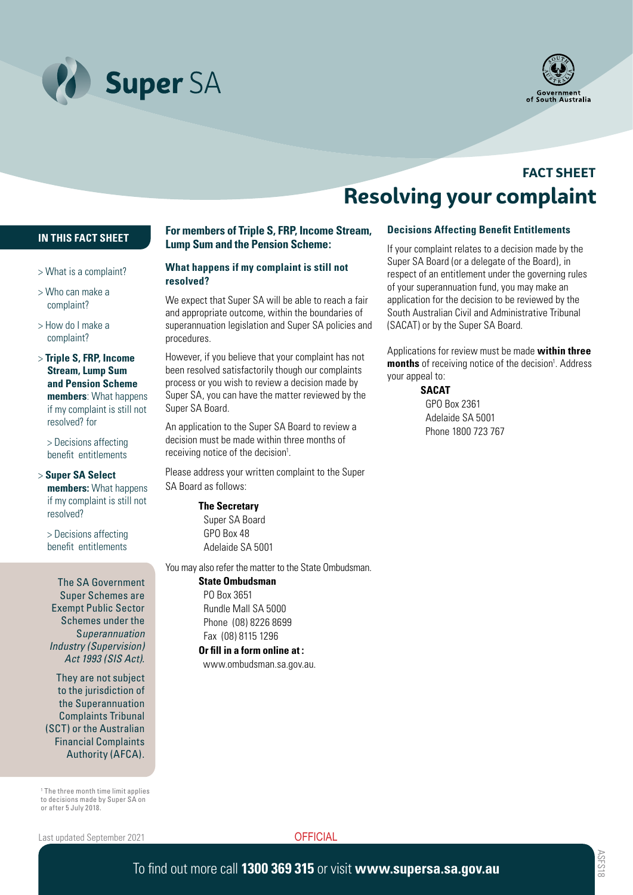



## **FACT SHEET Resolving your complaint**

## **IN THIS FACT SHEET**

- > What is a complaint?
- > Who can make a complaint?
- > How do I make a complaint?
- > **Triple S, FRP, Income Stream, Lump Sum and Pension Scheme members**: What happens if my complaint is still not resolved? for

> Decisions affecting benefit entitlements

> **Super SA Select members:** What happens if my complaint is still not resolved?

> Decisions affecting benefit entitlements

The SA Government Super Schemes are Exempt Public Sector Schemes under the S*uperannuation Industry (Supervision) Act 1993 (SIS Act)*.

 They are not subject to the jurisdiction of the Superannuation Complaints Tribunal (SCT) or the Australian Financial Complaints Authority (AFCA).

<sup>1</sup> The three month time limit applies to decisions made by Super SA on or after 5 July 2018.

Last updated September 2021

## **For members of Triple S, FRP, Income Stream, Lump Sum and the Pension Scheme:**

#### **What happens if my complaint is still not resolved?**

We expect that Super SA will be able to reach a fair and appropriate outcome, within the boundaries of superannuation legislation and Super SA policies and procedures.

However, if you believe that your complaint has not been resolved satisfactorily though our complaints process or you wish to review a decision made by Super SA, you can have the matter reviewed by the Super SA Board.

An application to the Super SA Board to review a decision must be made within three months of receiving notice of the decision<sup>1</sup>.

Please address your written complaint to the Super SA Board as follows:

## **The Secretary**

Super SA Board GPO Box 48 Adelaide SA 5001

You may also refer the matter to the State Ombudsman.

**State Ombudsman** PO Box 3651 Rundle Mall SA 5000 Phone (08) 8226 8699 Fax (08) 8115 1296

## **Or fill in a form online at :**

www.ombudsman.sa.gov.au.

#### **Decisions Affecting Benefit Entitlements**

If your complaint relates to a decision made by the Super SA Board (or a delegate of the Board), in respect of an entitlement under the governing rules of your superannuation fund, you may make an application for the decision to be reviewed by the South Australian Civil and Administrative Tribunal (SACAT) or by the Super SA Board.

Applications for review must be made **within three**  months of receiving notice of the decision<sup>1</sup>. Address your appeal to:

#### **SACAT**

GPO Box 2361 Adelaide SA 5001 Phone 1800 723 767